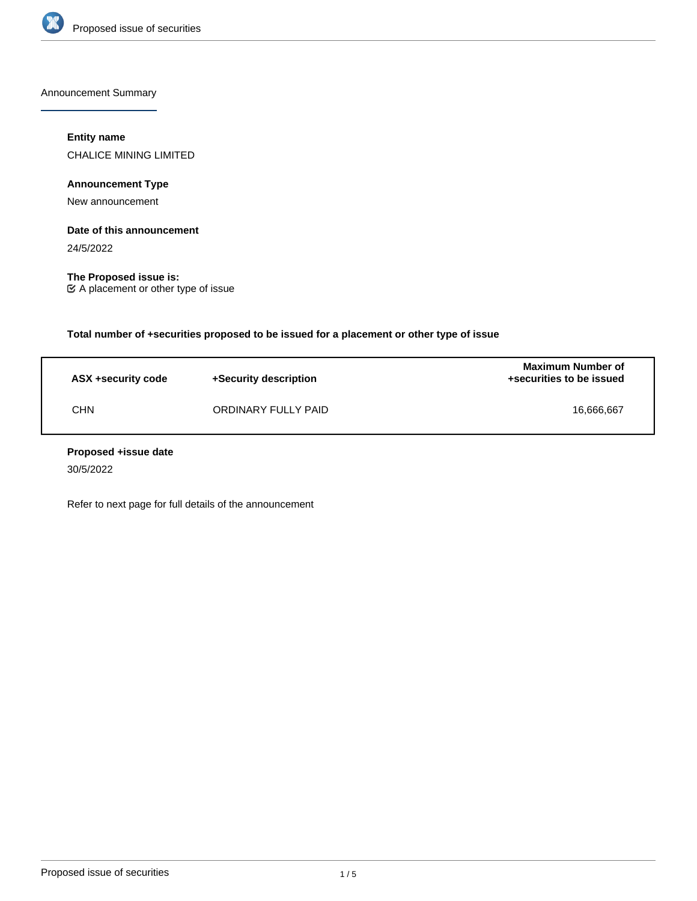

Announcement Summary

# **Entity name**

CHALICE MINING LIMITED

**Announcement Type**

New announcement

## **Date of this announcement**

24/5/2022

**The Proposed issue is:** A placement or other type of issue

**Total number of +securities proposed to be issued for a placement or other type of issue**

| ASX +security code | +Security description | <b>Maximum Number of</b><br>+securities to be issued |
|--------------------|-----------------------|------------------------------------------------------|
| CHN                | ORDINARY FULLY PAID   | 16.666.667                                           |

## **Proposed +issue date**

30/5/2022

Refer to next page for full details of the announcement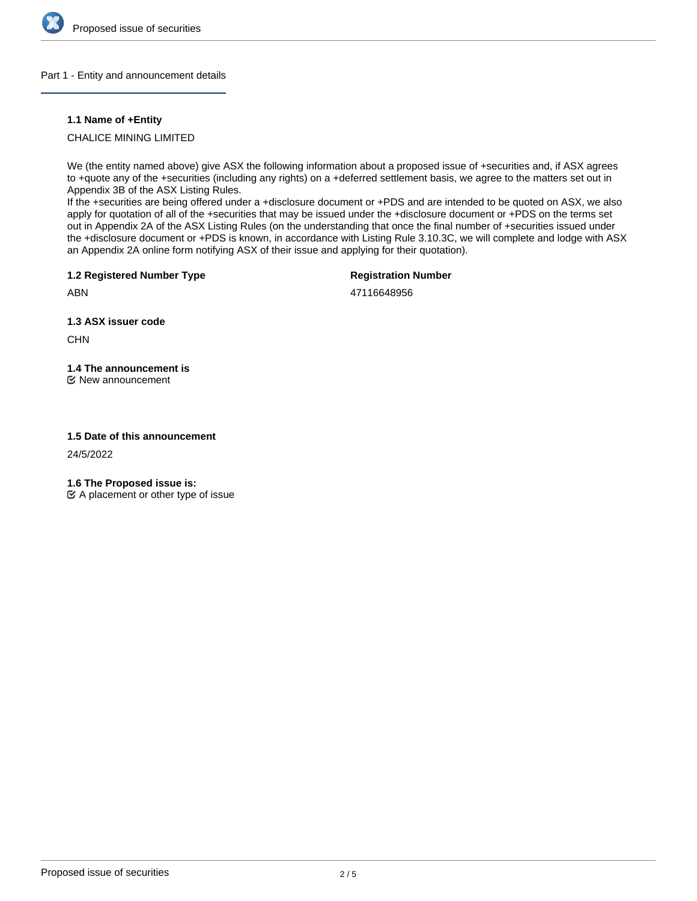

## Part 1 - Entity and announcement details

## **1.1 Name of +Entity**

CHALICE MINING LIMITED

We (the entity named above) give ASX the following information about a proposed issue of +securities and, if ASX agrees to +quote any of the +securities (including any rights) on a +deferred settlement basis, we agree to the matters set out in Appendix 3B of the ASX Listing Rules.

If the +securities are being offered under a +disclosure document or +PDS and are intended to be quoted on ASX, we also apply for quotation of all of the +securities that may be issued under the +disclosure document or +PDS on the terms set out in Appendix 2A of the ASX Listing Rules (on the understanding that once the final number of +securities issued under the +disclosure document or +PDS is known, in accordance with Listing Rule 3.10.3C, we will complete and lodge with ASX an Appendix 2A online form notifying ASX of their issue and applying for their quotation).

**1.2 Registered Number Type**

**Registration Number**

ABN

47116648956

**1.3 ASX issuer code**

**CHN** 

**1.4 The announcement is** New announcement

## **1.5 Date of this announcement**

24/5/2022

**1.6 The Proposed issue is:**

 $\mathfrak{C}$  A placement or other type of issue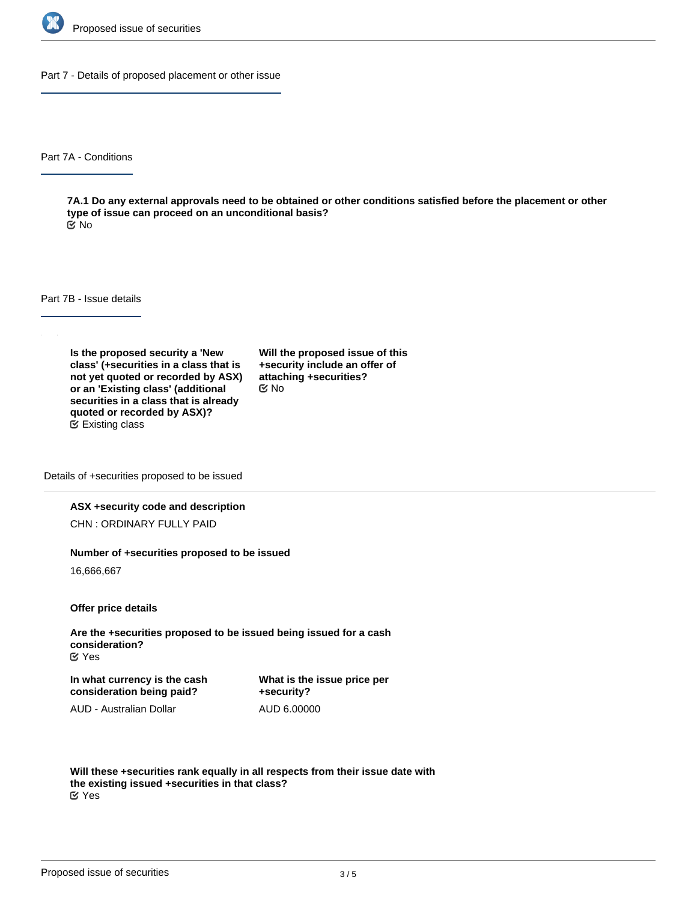

Part 7 - Details of proposed placement or other issue

Part 7A - Conditions

**7A.1 Do any external approvals need to be obtained or other conditions satisfied before the placement or other type of issue can proceed on an unconditional basis?** No

Part 7B - Issue details

**Is the proposed security a 'New class' (+securities in a class that is not yet quoted or recorded by ASX) or an 'Existing class' (additional securities in a class that is already quoted or recorded by ASX)?** Existing class

**Will the proposed issue of this +security include an offer of attaching +securities?** No

Details of +securities proposed to be issued

### **ASX +security code and description**

CHN : ORDINARY FULLY PAID

#### **Number of +securities proposed to be issued**

16,666,667

**Offer price details**

**Are the +securities proposed to be issued being issued for a cash consideration?** Yes

**In what currency is the cash consideration being paid?**

**What is the issue price per +security?** AUD 6.00000

AUD - Australian Dollar

**Will these +securities rank equally in all respects from their issue date with the existing issued +securities in that class?** Yes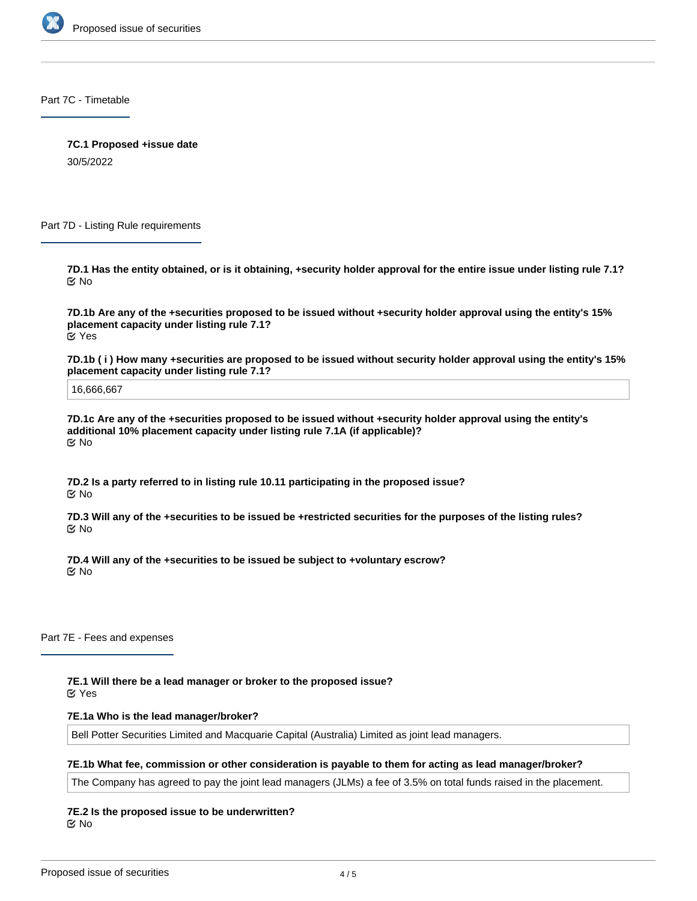

Part 7C - Timetable

**7C.1 Proposed +issue date** 30/5/2022

Part 7D - Listing Rule requirements

**7D.1 Has the entity obtained, or is it obtaining, +security holder approval for the entire issue under listing rule 7.1?** No

**7D.1b Are any of the +securities proposed to be issued without +security holder approval using the entity's 15% placement capacity under listing rule 7.1?** Yes

**7D.1b ( i ) How many +securities are proposed to be issued without security holder approval using the entity's 15% placement capacity under listing rule 7.1?**

16,666,667

**7D.1c Are any of the +securities proposed to be issued without +security holder approval using the entity's additional 10% placement capacity under listing rule 7.1A (if applicable)?** No

**7D.2 Is a party referred to in listing rule 10.11 participating in the proposed issue?** No

**7D.3 Will any of the +securities to be issued be +restricted securities for the purposes of the listing rules?** No

**7D.4 Will any of the +securities to be issued be subject to +voluntary escrow?** No

Part 7E - Fees and expenses

**7E.1 Will there be a lead manager or broker to the proposed issue?**

Yes

## **7E.1a Who is the lead manager/broker?**

Bell Potter Securities Limited and Macquarie Capital (Australia) Limited as joint lead managers.

## **7E.1b What fee, commission or other consideration is payable to them for acting as lead manager/broker?**

The Company has agreed to pay the joint lead managers (JLMs) a fee of 3.5% on total funds raised in the placement.

**7E.2 Is the proposed issue to be underwritten?** No